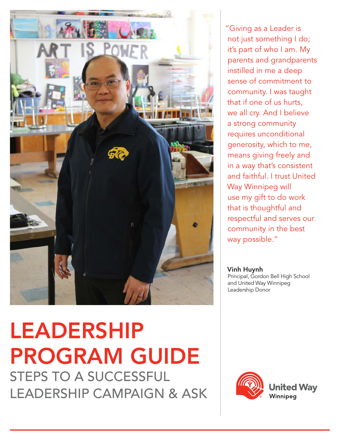

# LEADERSHIP PROGRAM GUIDE STEPS TO A SUCCESSFUL LEADERSHIP CAMPAIGN & ASK

"Giving as a Leader is not just something I do; it's part of who I am. My parents and grandparents instilled in me a deep sense of commitment to community. I was taught that if one of us hurts, we all cry. And I believe a strong community requires unconditional generosity, which to me, means giving freely and in a way that's consistent and faithful. I trust United Way Winnipeg will use my gift to do work that is thoughtful and respectful and serves our community in the best way possible."

Vinh Huynh Principal, Gordon Bell High School and United Way Winnipeg Leadership Donor

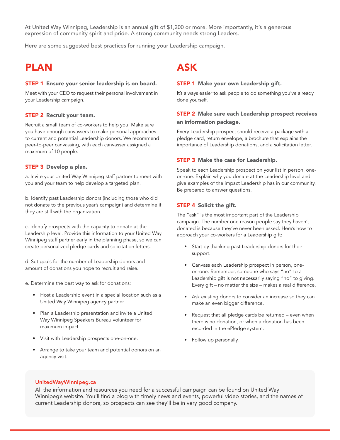At United Way Winnipeg, Leadership is an annual gift of \$1,200 or more. More importantly, it's a generous expression of community spirit and pride. A strong community needs strong Leaders.

Here are some suggested best practices for running your Leadership campaign.

### PLAN

### STEP 1 Ensure your senior leadership is on board.

Meet with your CEO to request their personal involvement in your Leadership campaign.

### STEP 2 Recruit your team.

Recruit a small team of co-workers to help you. Make sure you have enough canvassers to make personal approaches to current and potential Leadership donors. We recommend peer-to-peer canvassing, with each canvasser assigned a maximum of 10 people.

### STEP 3 Develop a plan.

a. Invite your United Way Winnipeg staff partner to meet with you and your team to help develop a targeted plan.

b. Identify past Leadership donors (including those who did not donate to the previous year's campaign) and determine if they are still with the organization.

c. Identify prospects with the capacity to donate at the Leadership level. Provide this information to your United Way Winnipeg staff partner early in the planning phase, so we can create personalized pledge cards and solicitation letters.

d. Set goals for the number of Leadership donors and amount of donations you hope to recruit and raise.

e. Determine the best way to ask for donations:

- Host a Leadership event in a special location such as a United Way Winnipeg agency partner.
- Plan a Leadership presentation and invite a United Way Winnipeg Speakers Bureau volunteer for maximum impact.
- Visit with Leadership prospects one-on-one.
- Arrange to take your team and potential donors on an agency visit.

### ASK

### STEP 1 Make your own Leadership gift.

It's always easier to ask people to do something you've already done yourself.

### STEP 2 Make sure each Leadership prospect receives an information package.

Every Leadership prospect should receive a package with a pledge card, return envelope, a brochure that explains the importance of Leadership donations, and a solicitation letter.

### STEP 3 Make the case for Leadership.

Speak to each Leadership prospect on your list in person, oneon-one. Explain why you donate at the Leadership level and give examples of the impact Leadership has in our community. Be prepared to answer questions.

### STEP 4 Solicit the gift.

The "ask" is the most important part of the Leadership campaign. The number one reason people say they haven't donated is because they've never been asked. Here's how to approach your co-workers for a Leadership gift:

- Start by thanking past Leadership donors for their support.
- Canvass each Leadership prospect in person, oneon-one. Remember, someone who says "no" to a Leadership gift is not necessarily saying "no" to giving. Every gift – no matter the size – makes a real difference.
- Ask existing donors to consider an increase so they can make an even bigger difference.
- Request that all pledge cards be returned even when there is no donation, or when a donation has been recorded in the ePledge system.
- Follow up personally.

### UnitedWayWinnipeg.ca

All the information and resources you need for a successful campaign can be found on United Way Winnipeg's website. You'll find a blog with timely news and events, powerful video stories, and the names of current Leadership donors, so prospects can see they'll be in very good company.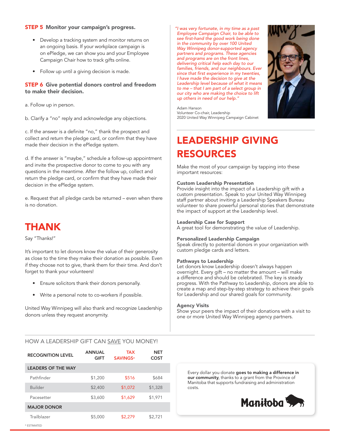### STEP 5 Monitor your campaign's progress.

- Develop a tracking system and monitor returns on an ongoing basis. If your workplace campaign is on ePledge, we can show you and your Employee Campaign Chair how to track gifts online.
- Follow up until a giving decision is made.

### STEP 6 Give potential donors control and freedom to make their decision.

a. Follow up in person.

b. Clarify a "no" reply and acknowledge any objections.

c. If the answer is a definite "no," thank the prospect and collect and return the pledge card, or confirm that they have made their decision in the ePledge system.

d. If the answer is "maybe," schedule a follow-up appointment and invite the prospective donor to come to you with any questions in the meantime. After the follow up, collect and return the pledge card, or confirm that they have made their decision in the ePledge system.

e. Request that all pledge cards be returned – even when there is no donation.

### THANK

Say "Thanks!"

It's important to let donors know the value of their generosity as close to the time they make their donation as possible. Even if they choose not to give, thank them for their time. And don't forget to thank your volunteers!

- Ensure solicitors thank their donors personally.
- Write a personal note to co-workers if possible.

United Way Winnipeg will also thank and recognize Leadership donors unless they request anonymity.

#### "I was very fortunate, in my time as a past Employee Campaign Chair, to be able to see first-hand the good work being done in the community by over 100 United Way Winnipeg donor-supported agency partners and programs. These agencies and programs are on the front lines, delivering critical help each day to our families, friends, and our neighbours. Ever since that first experience in my twenties, I have made the decision to give at the Leadership level because of what it means to me – that I am part of a select group in our city who are making the choice to lift up others in need of our help."

Adam Hanson Volunteer Co-chair, Leadership 2020 United Way Winnipeg Campaign Cabinet

### LEADERSHIP GIVING RESOURCES

Make the most of your campaign by tapping into these important resources:

#### Custom Leadership Presentation

Provide insight into the impact of a Leadership gift with a custom presentation. Speak to your United Way Winnipeg staff partner about inviting a Leadership Speakers Bureau volunteer to share powerful personal stories that demonstrate the impact of support at the Leadership level.

### Leadership Case for Support

A great tool for demonstrating the value of Leadership.

#### Personalized Leadership Campaign

Speak directly to potential donors in your organization with custom pledge cards and letters.

#### Pathways to Leadership

Let donors know Leadership doesn't always happen overnight. Every gift – no matter the amount – will make a difference and should be celebrated. The key is steady progress. With the Pathway to Leadership, donors are able to create a map and step-by-step strategy to achieve their goals for Leadership and our shared goals for community.

#### Agency Visits

Show your peers the impact of their donations with a visit to one or more United Way Winnipeg agency partners.

### HOW A LEADERSHIP GIFT CAN SAVE YOU MONEY!

| <b>RECOGNITION LEVEL</b>  | <b>ANNUAL</b><br><b>GIFT</b> | <b>TAX</b><br><b>SAVINGS*</b> | <b>NET</b><br><b>COST</b> |
|---------------------------|------------------------------|-------------------------------|---------------------------|
| <b>LEADERS OF THE WAY</b> |                              |                               |                           |
| Pathfinder                | \$1,200                      | \$516                         | \$684                     |
| <b>Builder</b>            | \$2,400                      | \$1,072                       | \$1,328                   |
| Pacesetter                | \$3,600                      | \$1,629                       | \$1,971                   |
| <b>MAJOR DONOR</b>        |                              |                               |                           |
| Trailblazer               | \$5,000                      | \$2,279                       | \$2,721                   |
| * ESTIMATED               |                              |                               |                           |

Every dollar you donate goes to making a difference in our community, thanks to a grant from the Province of Manitoba that supports fundraising and administration costs.